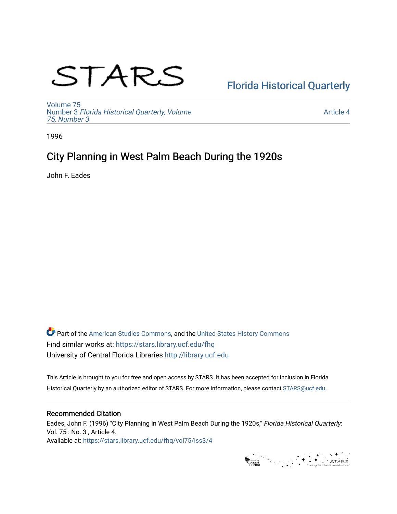# STARS

## [Florida Historical Quarterly](https://stars.library.ucf.edu/fhq)

[Volume 75](https://stars.library.ucf.edu/fhq/vol75) Number 3 [Florida Historical Quarterly, Volume](https://stars.library.ucf.edu/fhq/vol75/iss3)  [75, Number 3](https://stars.library.ucf.edu/fhq/vol75/iss3)

[Article 4](https://stars.library.ucf.edu/fhq/vol75/iss3/4) 

1996

## City Planning in West Palm Beach During the 1920s

John F. Eades

**C** Part of the [American Studies Commons](http://network.bepress.com/hgg/discipline/439?utm_source=stars.library.ucf.edu%2Ffhq%2Fvol75%2Fiss3%2F4&utm_medium=PDF&utm_campaign=PDFCoverPages), and the United States History Commons Find similar works at: <https://stars.library.ucf.edu/fhq> University of Central Florida Libraries [http://library.ucf.edu](http://library.ucf.edu/) 

This Article is brought to you for free and open access by STARS. It has been accepted for inclusion in Florida Historical Quarterly by an authorized editor of STARS. For more information, please contact [STARS@ucf.edu.](mailto:STARS@ucf.edu)

### Recommended Citation

Eades, John F. (1996) "City Planning in West Palm Beach During the 1920s," Florida Historical Quarterly: Vol. 75 : No. 3 , Article 4. Available at: [https://stars.library.ucf.edu/fhq/vol75/iss3/4](https://stars.library.ucf.edu/fhq/vol75/iss3/4?utm_source=stars.library.ucf.edu%2Ffhq%2Fvol75%2Fiss3%2F4&utm_medium=PDF&utm_campaign=PDFCoverPages) 

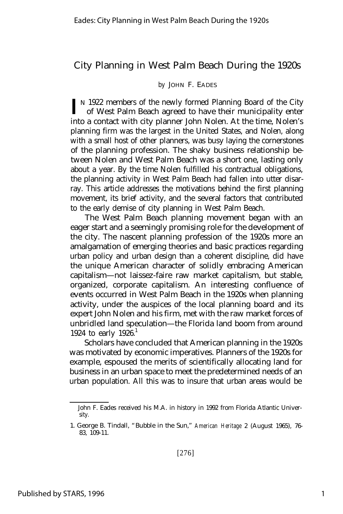#### City Planning in West Palm Beach During the 1920s

#### *by* JOHN F. EADES

I <sup>N 1922</sup> members of the newly formed Planning Board of the City of West Palm Beach agreed to have their municipality enter of West Palm Beach agreed to have their municipality enter into a contact with city planner John Nolen. At the time, Nolen's planning firm was the largest in the United States, and Nolen, along with a small host of other planners, was busy laying the cornerstones of the planning profession. The shaky business relationship between Nolen and West Palm Beach was a short one, lasting only about a year. By the time Nolen fulfilled his contractual obligations, the planning activity in West Palm Beach had fallen into utter disarray. This article addresses the motivations behind the first planning movement, its brief activity, and the several factors that contributed to the early demise of city planning in West Palm Beach.

The West Palm Beach planning movement began with an eager start and a seemingly promising role for the development of the city. The nascent planning profession of the 1920s more an amalgamation of emerging theories and basic practices regarding urban policy and urban design than a coherent discipline, did have the unique American character of solidly embracing American capitalism— not laissez-faire raw market capitalism, but stable, organized, corporate capitalism. An interesting confluence of events occurred in West Palm Beach in the 1920s when planning activity, under the auspices of the local planning board and its expert John Nolen and his firm, met with the raw market forces of unbridled land speculation— the Florida land boom from around 1924 to early  $1926.1$ 

Scholars have concluded that American planning in the 1920s was motivated by economic imperatives. Planners of the 1920s for example, espoused the merits of scientifically allocating land for business in an urban space to meet the predetermined needs of an urban population. All this was to insure that urban areas would be

John F. Eades received his M.A. in history in 1992 from Florida Atlantic University.

<sup>1.</sup> George B. Tindall, "Bubble in the Sun," *American Heritage* 2 (August 1965), 76- 83, 109-11.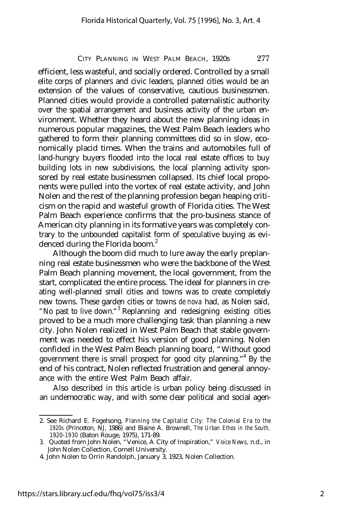efficient, less wasteful, and socially ordered. Controlled by a small elite corps of planners and civic leaders, planned cities would be an extension of the values of conservative, cautious businessmen. Planned cities would provide a controlled paternalistic authority over the spatial arrangement and business activity of the urban environment. Whether they heard about the new planning ideas in numerous popular magazines, the West Palm Beach leaders who gathered to form their planning committees did so in slow, economically placid times. When the trains and automobiles full of land-hungry buyers flooded into the local real estate offices to buy building lots in new subdivisions, the local planning activity sponsored by real estate businessmen collapsed. Its chief local proponents were pulled into the vortex of real estate activity, and John Nolen and the rest of the planning profession began heaping criticism on the rapid and wasteful growth of Florida cities. The West Palm Beach experience confirms that the pro-business stance of American city planning in its formative years was completely contrary to the unbounded capitalist form of speculative buying as evidenced during the Florida boom.<sup>2</sup>

Although the boom did much to lure away the early preplanning real estate businessmen who were the backbone of the West Palm Beach planning movement, the local government, from the start, complicated the entire process. The ideal for planners in creating well-planned small cities and towns was to create completely new towns. These garden cities or towns *de nova* had, as Nolen said, "No past to live down."<sup>3</sup> Replanning and redesigning existing cities proved to be a much more challenging task than planning a new city. John Nolen realized in West Palm Beach that stable government was needed to effect his version of good planning. Nolen confided in the West Palm Beach planning board, "Without good government there is small prospect for good city planning.<sup>44</sup> By the end of his contract, Nolen reflected frustration and general annoyance with the entire West Palm Beach affair.

Also described in this article is urban policy being discussed in an undemocratic way, and with some clear political and social agen-

<sup>2.</sup> See Richard E. Fogelsong, *Planning the Capitalist City: The Colonial Era to the 1920s* (Princeton, NJ, 1986) and Blaine A. Brownell, *The Urban Ethos in the South, 1920-1930* (Baton Rouge, 1975), 171-89.

<sup>3.</sup> Quoted from John Nolen, "Venice, A City of Inspiration," *Voice News,* n.d., in John Nolen Collection, Cornell University.

<sup>4.</sup> John Nolen to Orrin Randolph, January 3, 1923, Nolen Collection.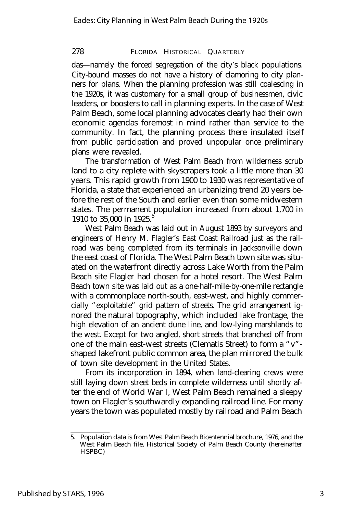das— namely the forced segregation of the city's black populations. City-bound masses do not have a history of clamoring to city planners for plans. When the planning profession was still coalescing in the 1920s, it was customary for a small group of businessmen, civic leaders, or boosters to call in planning experts. In the case of West Palm Beach, some local planning advocates clearly had their own economic agendas foremost in mind rather than service to the community. In fact, the planning process there insulated itself from public participation and proved unpopular once preliminary plans were revealed.

The transformation of West Palm Beach from wilderness scrub land to a city replete with skyscrapers took a little more than 30 years. This rapid growth from 1900 to 1930 was representative of Florida, a state that experienced an urbanizing trend 20 years before the rest of the South and earlier even than some midwestern states. The permanent population increased from about 1,700 in 1910 to 35,000 in 1925.

West Palm Beach was laid out in August 1893 by surveyors and engineers of Henry M. Flagler's East Coast Railroad just as the railroad was being completed from its terminals in Jacksonville down the east coast of Florida. The West Palm Beach town site was situated on the waterfront directly across Lake Worth from the Palm Beach site Flagler had chosen for a hotel resort. The West Palm Beach town site was laid out as a one-half-mile-by-one-mile rectangle with a commonplace north-south, east-west, and highly commercially "exploitable" grid pattern of streets. The grid arrangement ignored the natural topography, which included lake frontage, the high elevation of an ancient dune line, and low-lying marshlands to the west. Except for two angled, short streets that branched off from one of the main east-west streets (Clematis Street) to form a "v" shaped lakefront public common area, the plan mirrored the bulk of town site development in the United States.

From its incorporation in 1894, when land-clearing crews were still laying down street beds in complete wilderness until shortly after the end of World War I, West Palm Beach remained a sleepy town on Flagler's southwardly expanding railroad line. For many years the town was populated mostly by railroad and Palm Beach

<sup>5.</sup> Population data is from West Palm Beach Bicentennial brochure, 1976, and the West Palm Beach file, Historical Society of Palm Beach County (hereinafter HSPBC)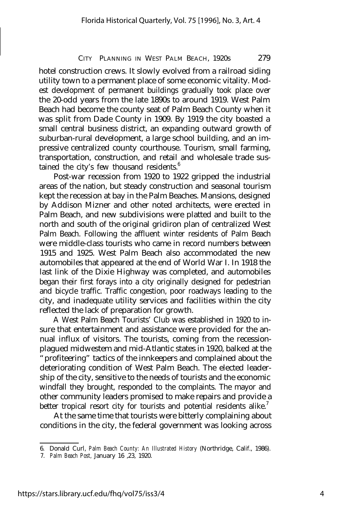hotel construction crews. It slowly evolved from a railroad siding utility town to a permanent place of some economic vitality. Modest development of permanent buildings gradually took place over the 20-odd years from the late 1890s to around 1919. West Palm Beach had become the county seat of Palm Beach County when it was split from Dade County in 1909. By 1919 the city boasted a small central business district, an expanding outward growth of suburban-rural development, a large school building, and an impressive centralized county courthouse. Tourism, small farming, transportation, construction, and retail and wholesale trade sustained the city's few thousand residents. $6$ 

Post-war recession from 1920 to 1922 gripped the industrial areas of the nation, but steady construction and seasonal tourism kept the recession at bay in the Palm Beaches. Mansions, designed by Addison Mizner and other noted architects, were erected in Palm Beach, and new subdivisions were platted and built to the north and south of the original gridiron plan of centralized West Palm Beach. Following the affluent winter residents of Palm Beach were middle-class tourists who came in record numbers between 1915 and 1925. West Palm Beach also accommodated the new automobiles that appeared at the end of World War I. In 1918 the last link of the Dixie Highway was completed, and automobiles began their first forays into a city originally designed for pedestrian and bicycle traffic. Traffic congestion, poor roadways leading to the city, and inadequate utility services and facilities within the city reflected the lack of preparation for growth.

A West Palm Beach Tourists' Club was established in 1920 to insure that entertainment and assistance were provided for the annual influx of visitors. The tourists, coming from the recessionplagued midwestem and mid-Atlantic states in 1920, balked at the "profiteering" tactics of the innkeepers and complained about the deteriorating condition of West Palm Beach. The elected leadership of the city, sensitive to the needs of tourists and the economic windfall they brought, responded to the complaints. The mayor and other community leaders promised to make repairs and provide a better tropical resort city for tourists and potential residents alike.<sup>7</sup>

At the same time that tourists were bitterly complaining about conditions in the city, the federal government was looking across

<sup>6.</sup> Donald Curl, *Palm Beach County: An Illustrated History* (Northridge, Calif., 1986).

<sup>7.</sup> *Palm Beach Post,* January 16 ,23, 1920.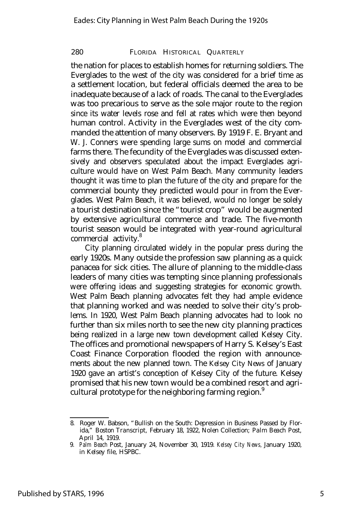the nation for places to establish homes for returning soldiers. The Everglades to the west of the city was considered for a brief time as a settlement location, but federal officials deemed the area to be inadequate because of a lack of roads. The canal to the Everglades was too precarious to serve as the sole major route to the region since its water levels rose and fell at rates which were then beyond human control. Activity in the Everglades west of the city commanded the attention of many observers. By 1919 F. E. Bryant and W. J. Conners were spending large sums on model and commercial farms there. The fecundity of the Everglades was discussed extensively and observers speculated about the impact Everglades agriculture would have on West Palm Beach. Many community leaders thought it was time to plan the future of the city and prepare for the commercial bounty they predicted would pour in from the Everglades. West Palm Beach, it was believed, would no longer be solely a tourist destination since the "tourist crop" would be augmented by extensive agricultural commerce and trade. The five-month tourist season would be integrated with year-round agricultural commercial activity.<sup>8</sup>

City planning circulated widely in the popular press during the early 1920s. Many outside the profession saw planning as a quick panacea for sick cities. The allure of planning to the middle-class leaders of many cities was tempting since planning professionals were offering ideas and suggesting strategies for economic growth. West Palm Beach planning advocates felt they had ample evidence that planning worked and was needed to solve their city's problems. In 1920, West Palm Beach planning advocates had to look no further than six miles north to see the new city planning practices being realized in a large new town development called Kelsey City. The offices and promotional newspapers of Harry S. Kelsey's East Coast Finance Corporation flooded the region with announcements about the new planned town. The *Kelsey City News* of January 1920 gave an artist's conception of Kelsey City of the future. Kelsey promised that his new town would be a combined resort and agricultural prototype for the neighboring farming region.<sup>9</sup>

<sup>8.</sup> Roger W. Babson, "Bullish on the South: Depression in Business Passed by Florida," *Boston Transcript,* February 18, 1922, Nolen Collection; *Palm Beach Post,* April 14, 1919.

<sup>9.</sup> *Palm Beach Post,* January 24, November 30, 1919. *Kelsey City News,* January 1920, in Kelsey file, HSPBC.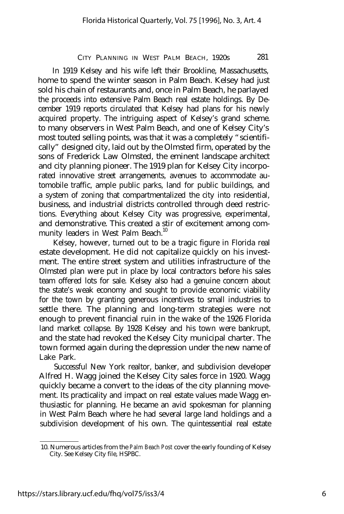In 1919 Kelsey and his wife left their Brookline, Massachusetts, home to spend the winter season in Palm Beach. Kelsey had just sold his chain of restaurants and, once in Palm Beach, he parlayed the proceeds into extensive Palm Beach real estate holdings. By December 1919 reports circulated that Kelsey had plans for his newly acquired property. The intriguing aspect of Kelsey's grand scheme. to many observers in West Palm Beach, and one of Kelsey City's most touted selling points, was that it was a completely "scientifically" designed city, laid out by the Olmsted firm, operated by the sons of Frederick Law Olmsted, the eminent landscape architect and city planning pioneer. The 1919 plan for Kelsey City incorporated innovative street arrangements, avenues to accommodate automobile traffic, ample public parks, land for public buildings, and a system of zoning that compartmentalized the city into residential, business, and industrial districts controlled through deed restrictions. Everything about Kelsey City was progressive, experimental, and demonstrative. This created a stir of excitement among community leaders in West Palm Beach.<sup>10</sup>

Kelsey, however, turned out to be a tragic figure in Florida real estate development. He did not capitalize quickly on his investment. The entire street system and utilities infrastructure of the Olmsted plan were put in place by local contractors before his sales team offered lots for sale. Kelsey also had a genuine concern about the state's weak economy and sought to provide economic viability for the town by granting generous incentives to small industries to settle there. The planning and long-term strategies were not enough to prevent financial ruin in the wake of the 1926 Florida land market collapse. By 1928 Kelsey and his town were bankrupt, and the state had revoked the Kelsey City municipal charter. The town formed again during the depression under the new name of Lake Park.

Successful New York realtor, banker, and subdivision developer Alfred H. Wagg joined the Kelsey City sales force in 1920. Wagg quickly became a convert to the ideas of the city planning movement. Its practicality and impact on real estate values made Wagg enthusiastic for planning. He became an avid spokesman for planning in West Palm Beach where he had several large land holdings and a subdivision development of his own. The quintessential real estate

<sup>10.</sup> Numerous articles from the *Palm Beach Post* cover the early founding of Kelsey City. See Kelsey City file, HSPBC.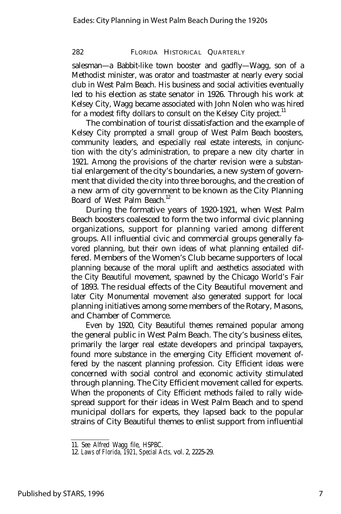salesman— a Babbit-like town booster and gadfly— Wagg, son of a Methodist minister, was orator and toastmaster at nearly every social club in West Palm Beach. His business and social activities eventually led to his election as state senator in 1926. Through his work at Kelsey City, Wagg became associated with John Nolen who was hired for a modest fifty dollars to consult on the Kelsey City project.<sup>11</sup>

The combination of tourist dissatisfaction and the example of Kelsey City prompted a small group of West Palm Beach boosters, community leaders, and especially real estate interests, in conjunction with the city's administration, to prepare a new city charter in 1921. Among the provisions of the charter revision were a substantial enlargement of the city's boundaries, a new system of government that divided the city into three boroughs, and the creation of a new arm of city government to be known as the City Planning Board of West Palm Beach.<sup>12</sup>

During the formative years of 1920-1921, when West Palm Beach boosters coalesced to form the two informal civic planning organizations, support for planning varied among different groups. All influential civic and commercial groups generally favored planning, but their own ideas of what planning entailed differed. Members of the Women's Club became supporters of local planning because of the moral uplift and aesthetics associated with the City Beautiful movement, spawned by the Chicago World's Fair of 1893. The residual effects of the City Beautiful movement and later City Monumental movement also generated support for local planning initiatives among some members of the Rotary, Masons, and Chamber of Commerce.

Even by 1920, City Beautiful themes remained popular among the general public in West Palm Beach. The city's business elites, primarily the larger real estate developers and principal taxpayers, found more substance in the emerging City Efficient movement offered by the nascent planning profession. City Efficient ideas were concerned with social control and economic activity stimulated through planning. The City Efficient movement called for experts. When the proponents of City Efficient methods failed to rally widespread support for their ideas in West Palm Beach and to spend municipal dollars for experts, they lapsed back to the popular strains of City Beautiful themes to enlist support from influential

<sup>11.</sup> See Alfred Wagg file, HSPBC.

<sup>12.</sup> *Laws of Florida, 1921, Special Acts,* vol. 2, 2225-29.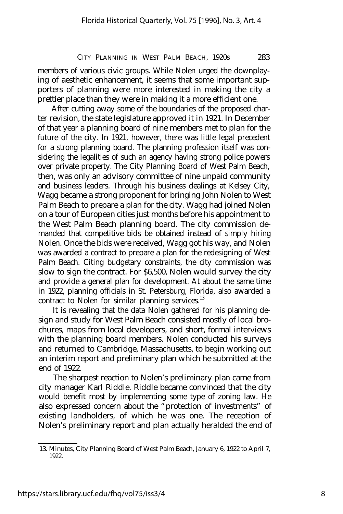members of various civic groups. While Nolen urged the downplaying of aesthetic enhancement, it seems that some important supporters of planning were more interested in making the city a prettier place than they were in making it a more efficient one.

After cutting away some of the boundaries of the proposed charter revision, the state legislature approved it in 1921. In December of that year a planning board of nine members met to plan for the future of the city. In 1921, however, there was little legal precedent for a strong planning board. The planning profession itself was considering the legalities of such an agency having strong police powers over private property. The City Planning Board of West Palm Beach, then, was only an advisory committee of nine unpaid community and business leaders. Through his business dealings at Kelsey City, Wagg became a strong proponent for bringing John Nolen to West Palm Beach to prepare a plan for the city. Wagg had joined Nolen on a tour of European cities just months before his appointment to the West Palm Beach planning board. The city commission demanded that competitive bids be obtained instead of simply hiring Nolen. Once the bids were received, Wagg got his way, and Nolen was awarded a contract to prepare a plan for the redesigning of West Palm Beach. Citing budgetary constraints, the city commission was slow to sign the contract. For \$6,500, Nolen would survey the city and provide a general plan for development. At about the same time in 1922, planning officials in St. Petersburg, Florida, also awarded a contract to Nolen for similar planning services. $^{13}$ 

It is revealing that the data Nolen gathered for his planning design and study for West Palm Beach consisted mostly of local brochures, maps from local developers, and short, formal interviews with the planning board members. Nolen conducted his surveys and returned to Cambridge, Massachusetts, to begin working out an interim report and preliminary plan which he submitted at the end of 1922.

The sharpest reaction to Nolen's preliminary plan came from city manager Karl Riddle. Riddle became convinced that the city would benefit most by implementing some type of zoning law. He also expressed concern about the "protection of investments" of existing landholders, of which he was one. The reception of Nolen's preliminary report and plan actually heralded the end of

<sup>13.</sup> Minutes, City Planning Board of West Palm Beach, January 6, 1922 to April 7, 1922.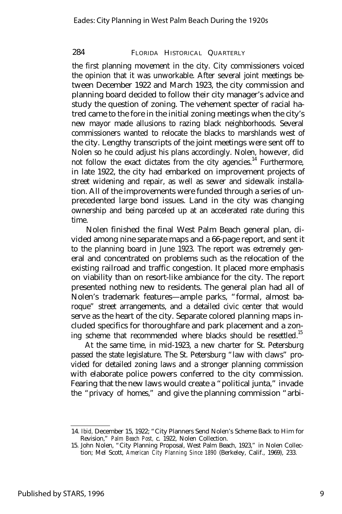the first planning movement in the city. City commissioners voiced the opinion that it was unworkable. After several joint meetings between December 1922 and March 1923, the city commission and planning board decided to follow their city manager's advice and study the question of zoning. The vehement specter of racial hatred came to the fore in the initial zoning meetings when the city's new mayor made allusions to razing black neighborhoods. Several commissioners wanted to relocate the blacks to marshlands west of the city. Lengthy transcripts of the joint meetings were sent off to Nolen so he could adjust his plans accordingly. Nolen, however, did not follow the exact dictates from the city agencies.<sup>14</sup> Furthermore, in late 1922, the city had embarked on improvement projects of street widening and repair, as well as sewer and sidewalk installation. All of the improvements were funded through a series of unprecedented large bond issues. Land in the city was changing ownership and being parceled up at an accelerated rate during this time.

Nolen finished the final West Palm Beach general plan, divided among nine separate maps and a 66-page report, and sent it to the planning board in June 1923. The report was extremely general and concentrated on problems such as the relocation of the existing railroad and traffic congestion. It placed more emphasis on viability than on resort-like ambiance for the city. The report presented nothing new to residents. The general plan had all of Nolen's trademark features— ample parks, "formal, almost baroque" street arrangements, and a detailed civic center that would serve as the heart of the city. Separate colored planning maps included specifics for thoroughfare and park placement and a zoning scheme that recommended where blacks should be resettled.<sup>15</sup>

At the same time, in mid-1923, a new charter for St. Petersburg passed the state legislature. The St. Petersburg "law with claws" provided for detailed zoning laws and a stronger planning commission with elaborate police powers conferred to the city commission. Fearing that the new laws would create a "political junta," invade the "privacy of homes," and give the planning commission "arbi-

<sup>14.</sup> *Ibid,* December 15, 1922; "City Planners Send Nolen's Scheme Back to Him for Revision," *Palm Beach Post,* c. 1922, Nolen Collection.

<sup>15.</sup> John Nolen, "City Planning Proposal, West Palm Beach, 1923," in Nolen Collection; Mel Scott, *American City Planning Since 1890* (Berkeley, Calif., 1969), 233.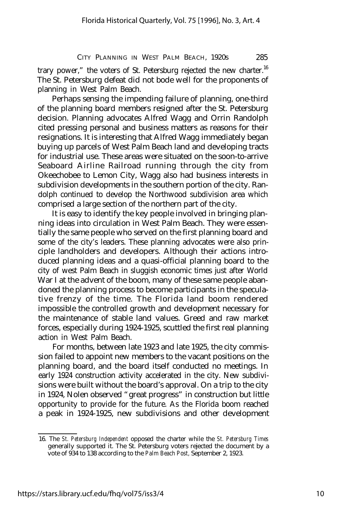trary power," the voters of St. Petersburg rejected the new charter.<sup>16</sup> The St. Petersburg defeat did not bode well for the proponents of planning in West Palm Beach.

Perhaps sensing the impending failure of planning, one-third of the planning board members resigned after the St. Petersburg decision. Planning advocates Alfred Wagg and Orrin Randolph cited pressing personal and business matters as reasons for their resignations. It is interesting that Alfred Wagg immediately began buying up parcels of West Palm Beach land and developing tracts for industrial use. These areas were situated on the soon-to-arrive Seaboard Airline Railroad running through the city from Okeechobee to Lemon City, Wagg also had business interests in subdivision developments in the southern portion of the city. Randolph continued to develop the Northwood subdivision area which comprised a large section of the northern part of the city.

It is easy to identify the key people involved in bringing planning ideas into circulation in West Palm Beach. They were essentially the same people who served on the first planning board and some of the city's leaders. These planning advocates were also principle landholders and developers. Although their actions introduced planning ideas and a quasi-official planning board to the city of west Palm Beach in sluggish economic times just after World War I at the advent of the boom, many of these same people abandoned the planning process to become participants in the speculative frenzy of the time. The Florida land boom rendered impossible the controlled growth and development necessary for the maintenance of stable land values. Greed and raw market forces, especially during 1924-1925, scuttled the first real planning action in West Palm Beach.

For months, between late 1923 and late 1925, the city commission failed to appoint new members to the vacant positions on the planning board, and the board itself conducted no meetings. In early 1924 construction activity accelerated in the city. New subdivisions were built without the board's approval. On a trip to the city in 1924, Nolen observed "great progress" in construction but little opportunity to provide for the future. As the Florida boom reached a peak in 1924-1925, new subdivisions and other development

<sup>16.</sup> The *St. Petersburg Independent* opposed the charter while the *St. Petersburg Times* generally supported it. The St. Petersburg voters rejected the document by a vote of 934 to 138 according to the *Palm Beach Post,* September 2, 1923.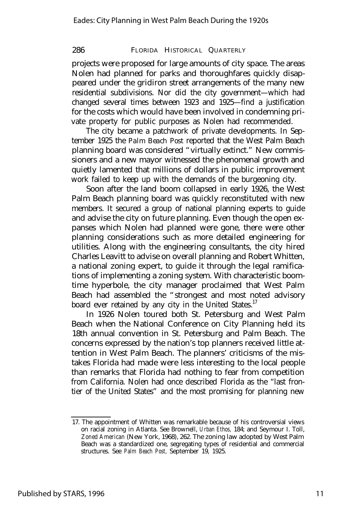projects were proposed for large amounts of city space. The areas Nolen had planned for parks and thoroughfares quickly disappeared under the gridiron street arrangements of the many new residential subdivisions. Nor did the city government— which had changed several times between 1923 and 1925— find a justification for the costs which would have been involved in condemning private property for public purposes as Nolen had recommended.

The city became a patchwork of private developments. In September 1925 the *Palm Beach Post* reported that the West Palm Beach planning board was considered "virtually extinct." New commissioners and a new mayor witnessed the phenomenal growth and quietly lamented that millions of dollars in public improvement work failed to keep up with the demands of the burgeoning city.

Soon after the land boom collapsed in early 1926, the West Palm Beach planning board was quickly reconstituted with new members. It secured a group of national planning experts to guide and advise the city on future planning. Even though the open expanses which Nolen had planned were gone, there were other planning considerations such as more detailed engineering for utilities. Along with the engineering consultants, the city hired Charles Leavitt to advise on overall planning and Robert Whitten, a national zoning expert, to guide it through the legal ramifications of implementing a zoning system. With characteristic boomtime hyperbole, the city manager proclaimed that West Palm Beach had assembled the "strongest and most noted advisory board ever retained by any city in the United States. $17$ 

In 1926 Nolen toured both St. Petersburg and West Palm Beach when the National Conference on City Planning held its 18th annual convention in St. Petersburg and Palm Beach. The concerns expressed by the nation's top planners received little attention in West Palm Beach. The planners' criticisms of the mistakes Florida had made were less interesting to the local people than remarks that Florida had nothing to fear from competition from California. Nolen had once described Florida as the "last frontier of the United States" and the most promising for planning new

<sup>17.</sup> The appointment of Whitten was remarkable because of his controversial views on racial zoning in Atlanta. See Brownell, *Urban Ethos,* 184; and Seymour I. Toll, *Zoned American* (New York, 1968), 262. The zoning law adopted by West Palm Beach was a standardized one, segregating types of residential and commercial structures. See *Palm Beach Post,* September 19, 1925.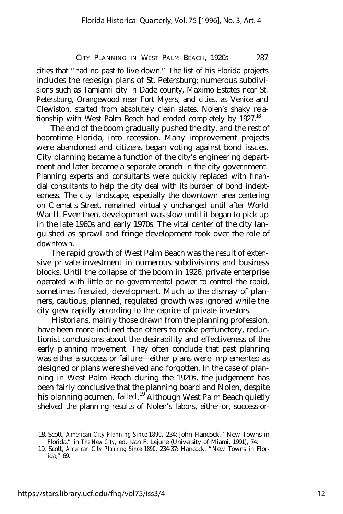cities that "had no past to live down." The list of his Florida projects includes the redesign plans of St. Petersburg; numerous subdivisions such as Tamiami city in Dade county, Maximo Estates near St. Petersburg, Orangewood near Fort Myers; and cities, as Venice and Clewiston, started from absolutely clean slates. Nolen's shaky relationship with West Palm Beach had eroded completely by  $1927$ <sup>18</sup>

The end of the boom gradually pushed the city, and the rest of boomtime Florida, into recession. Many improvement projects were abandoned and citizens began voting against bond issues. City planning became a function of the city's engineering department and later became a separate branch in the city government. Planning experts and consultants were quickly replaced with financial consultants to help the city deal with its burden of bond indebtedness. The city landscape, especially the downtown area centering on Clematis Street, remained virtually unchanged until after World War II. Even then, development was slow until it began to pick up in the late 1960s and early 1970s. The vital center of the city languished as sprawl and fringe development took over the role of downtown.

The rapid growth of West Palm Beach was the result of extensive private investment in numerous subdivisions and business blocks. Until the collapse of the boom in 1926, private enterprise operated with little or no governmental power to control the rapid, sometimes frenzied, development. Much to the dismay of planners, cautious, planned, regulated growth was ignored while the city grew rapidly according to the caprice of private investors.

Historians, mainly those drawn from the planning profession, have been more inclined than others to make perfunctory, reductionist conclusions about the desirability and effectiveness of the early planning movement. They often conclude that past planning was either a success or failure— either plans were implemented as designed or plans were shelved and forgotten. In the case of planning in West Palm Beach during the 1920s, the judgement has been fairly conclusive that the planning board and Nolen, despite his planning acumen, failed.<sup>19</sup> Although West Palm Beach quietly shelved the planning results of Nolen's labors, either-or, success-or-

<sup>18.</sup> Scott, *American City Planning Since 1890,* 234; John Hancock, "New Towns in Florida," in *The New City,* ed. Jean F. Lejune (University of Miami, 1991), 74.

<sup>19.</sup> Scott, *American City Planning Since 1890,* 234-37: Hancock, "New Towns in Florida," 69.